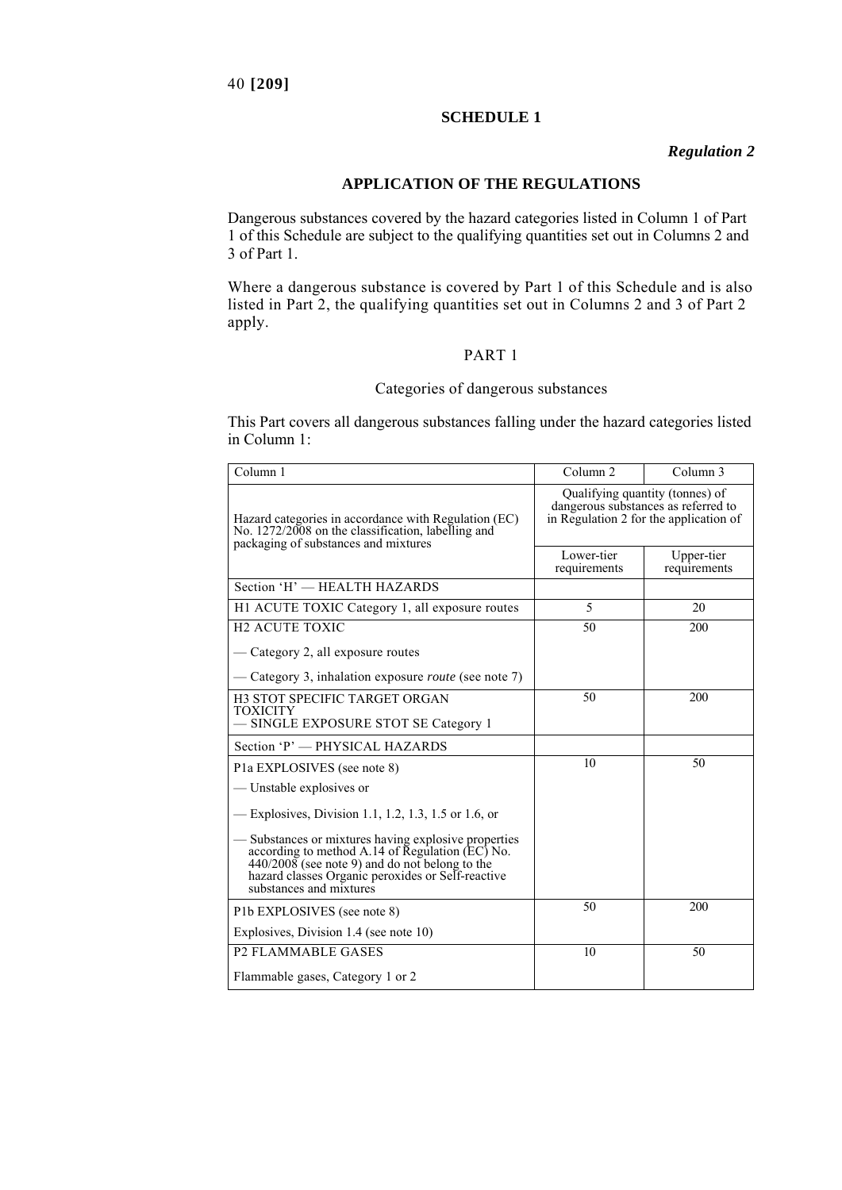#### **SCHEDULE 1**

### *Regulation 2*

## **APPLICATION OF THE REGULATIONS**

Dangerous substances covered by the hazard categories listed in Column 1 of Part 1 of this Schedule are subject to the qualifying quantities set out in Columns 2 and 3 of Part 1.

Where a dangerous substance is covered by Part 1 of this Schedule and is also listed in Part 2, the qualifying quantities set out in Columns 2 and 3 of Part 2 apply.

#### PART 1

## Categories of dangerous substances

This Part covers all dangerous substances falling under the hazard categories listed in Column 1:

| Column 1                                                                                                                                                                                                                                    | Column <sub>2</sub>                                                                                              | Column 3                   |
|---------------------------------------------------------------------------------------------------------------------------------------------------------------------------------------------------------------------------------------------|------------------------------------------------------------------------------------------------------------------|----------------------------|
| Hazard categories in accordance with Regulation (EC)<br>No. 1272/2008 on the classification, labelling and<br>packaging of substances and mixtures                                                                                          | Qualifying quantity (tonnes) of<br>dangerous substances as referred to<br>in Regulation 2 for the application of |                            |
|                                                                                                                                                                                                                                             | Lower-tier<br>requirements                                                                                       | Upper-tier<br>requirements |
| Section 'H' - HEALTH HAZARDS                                                                                                                                                                                                                |                                                                                                                  |                            |
| H1 ACUTE TOXIC Category 1, all exposure routes                                                                                                                                                                                              | 5                                                                                                                | 20                         |
| <b>H2 ACUTE TOXIC</b>                                                                                                                                                                                                                       | 50                                                                                                               | 200                        |
| — Category 2, all exposure routes                                                                                                                                                                                                           |                                                                                                                  |                            |
| — Category 3, inhalation exposure <i>route</i> (see note 7)                                                                                                                                                                                 |                                                                                                                  |                            |
| H3 STOT SPECIFIC TARGET ORGAN<br><b>TOXICITY</b>                                                                                                                                                                                            | 50                                                                                                               | 200                        |
| - SINGLE EXPOSURE STOT SE Category 1                                                                                                                                                                                                        |                                                                                                                  |                            |
| Section 'P' - PHYSICAL HAZARDS                                                                                                                                                                                                              |                                                                                                                  |                            |
| P1a EXPLOSIVES (see note 8)                                                                                                                                                                                                                 | 10                                                                                                               | 50                         |
| — Unstable explosives or                                                                                                                                                                                                                    |                                                                                                                  |                            |
| -Explosives, Division 1.1, 1.2, 1.3, 1.5 or 1.6, or                                                                                                                                                                                         |                                                                                                                  |                            |
| — Substances or mixtures having explosive properties<br>according to method A.14 of Regulation (EC) No.<br>$440/2008$ (see note 9) and do not belong to the<br>hazard classes Organic peroxides or Self-reactive<br>substances and mixtures |                                                                                                                  |                            |
| P1b EXPLOSIVES (see note 8)                                                                                                                                                                                                                 | 50                                                                                                               | 200                        |
| Explosives, Division 1.4 (see note 10)                                                                                                                                                                                                      |                                                                                                                  |                            |
| <b>P2 FLAMMABLE GASES</b>                                                                                                                                                                                                                   | 10                                                                                                               | 50                         |
| Flammable gases, Category 1 or 2                                                                                                                                                                                                            |                                                                                                                  |                            |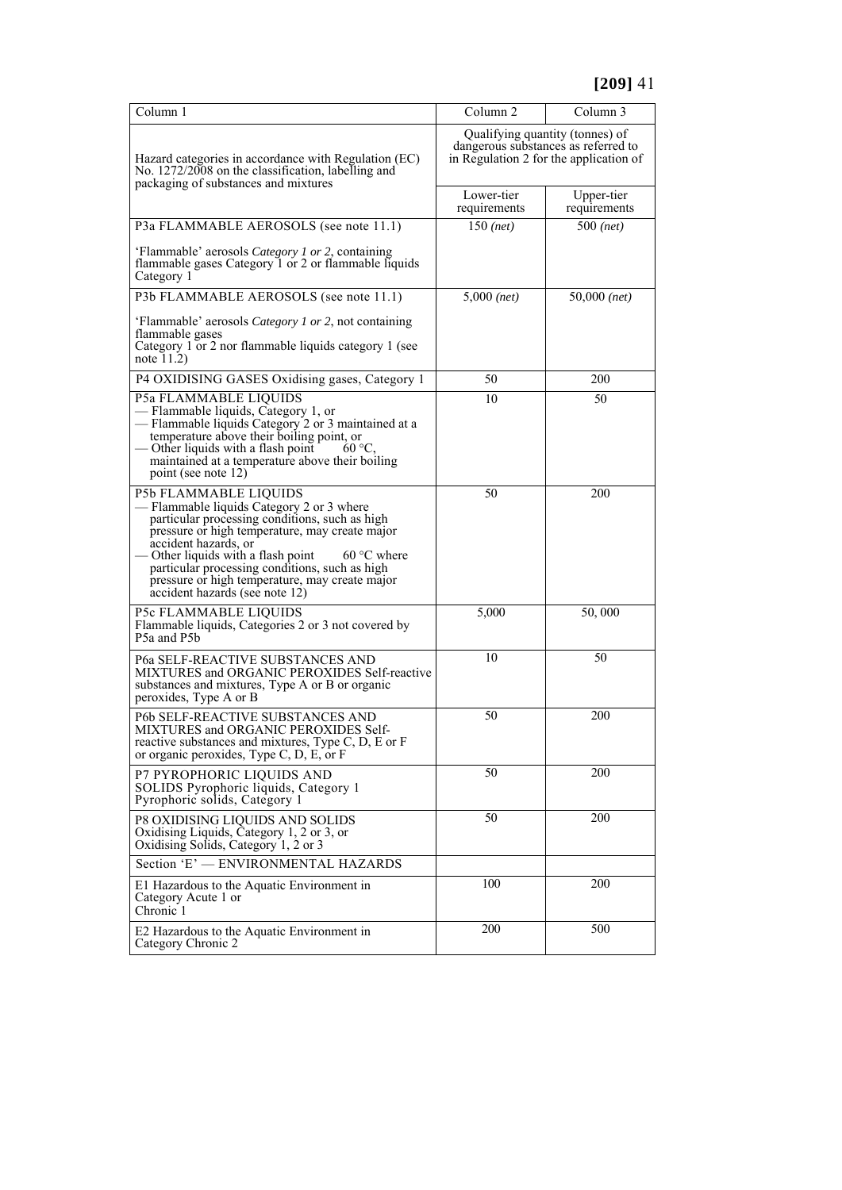| Column 1                                                                                                                                                                                                                                                                                                                                                                                    | Column 2                                                                                                         | Column 3                   |
|---------------------------------------------------------------------------------------------------------------------------------------------------------------------------------------------------------------------------------------------------------------------------------------------------------------------------------------------------------------------------------------------|------------------------------------------------------------------------------------------------------------------|----------------------------|
| Hazard categories in accordance with Regulation (EC)<br>No. 1272/2008 on the classification, labelling and<br>packaging of substances and mixtures                                                                                                                                                                                                                                          | Qualifying quantity (tonnes) of<br>dangerous substances as referred to<br>in Regulation 2 for the application of |                            |
|                                                                                                                                                                                                                                                                                                                                                                                             | Lower-tier<br>requirements                                                                                       | Upper-tier<br>requirements |
| P3a FLAMMABLE AEROSOLS (see note 11.1)                                                                                                                                                                                                                                                                                                                                                      | $150$ (net)                                                                                                      | $500$ (net)                |
| 'Flammable' aerosols Category 1 or 2, containing<br>flammable gases Category 1 or 2 or flammable liquids<br>Category 1                                                                                                                                                                                                                                                                      |                                                                                                                  |                            |
| P3b FLAMMABLE AEROSOLS (see note 11.1)                                                                                                                                                                                                                                                                                                                                                      | $5,000$ (net)                                                                                                    | $50,000$ (net)             |
| 'Flammable' aerosols Category 1 or 2, not containing<br>flammable gases<br>Category 1 or 2 nor flammable liquids category 1 (see<br>note $11.2$ )                                                                                                                                                                                                                                           |                                                                                                                  |                            |
| P4 OXIDISING GASES Oxidising gases, Category 1                                                                                                                                                                                                                                                                                                                                              | 50                                                                                                               | 200                        |
| P5a FLAMMABLE LIQUIDS<br>— Flammable liquids, Category 1, or<br>- Flammable liquids Category 2 or 3 maintained at a<br>temperature above their boiling point, or<br>- Other liquids with a flash point<br>60 °C<br>maintained at a temperature above their boiling<br>point (see note 12)                                                                                                   | 10                                                                                                               | 50                         |
| P5b FLAMMABLE LIQUIDS<br>- Flammable liquids Category 2 or 3 where<br>particular processing conditions, such as high<br>pressure or high temperature, may create major<br>accident hazards, or<br>- Other liquids with a flash point<br>$60 °C$ where<br>particular processing conditions, such as high<br>pressure or high temperature, may create major<br>accident hazards (see note 12) | 50                                                                                                               | 200                        |
| P5c FLAMMABLE LIQUIDS<br>Flammable liquids, Categories 2 or 3 not covered by<br>P5a and P5b                                                                                                                                                                                                                                                                                                 | 5,000                                                                                                            | 50,000                     |
| P6a SELF-REACTIVE SUBSTANCES AND<br>MIXTURES and ORGANIC PEROXIDES Self-reactive<br>substances and mixtures, Type A or B or organic<br>peroxides, Type A or B                                                                                                                                                                                                                               | 10                                                                                                               | 50                         |
| P6b SELF-REACTIVE SUBSTANCES AND<br>MIXTURES and ORGANIC PEROXIDES Self-<br>reactive substances and mixtures, Type C, D, E or F<br>or organic peroxides, Type C, D, E, or F                                                                                                                                                                                                                 | 50                                                                                                               | 200                        |
| P7 PYROPHORIC LIQUIDS AND<br>SOLIDS Pyrophoric liquids, Category 1<br>Pyrophoric solids, Category 1                                                                                                                                                                                                                                                                                         | 50                                                                                                               | 200                        |
| P8 OXIDISING LIQUIDS AND SOLIDS<br>Oxidising Liquids, Category 1, 2 or 3, or<br>Oxidising Solids, Category 1, 2 or 3                                                                                                                                                                                                                                                                        | 50                                                                                                               | 200                        |
| Section 'E' - ENVIRONMENTAL HAZARDS                                                                                                                                                                                                                                                                                                                                                         |                                                                                                                  |                            |
| E1 Hazardous to the Aquatic Environment in<br>Category Acute 1 or<br>Chronic 1                                                                                                                                                                                                                                                                                                              | 100                                                                                                              | 200                        |
| E2 Hazardous to the Aquatic Environment in<br>Category Chronic 2                                                                                                                                                                                                                                                                                                                            | 200                                                                                                              | 500                        |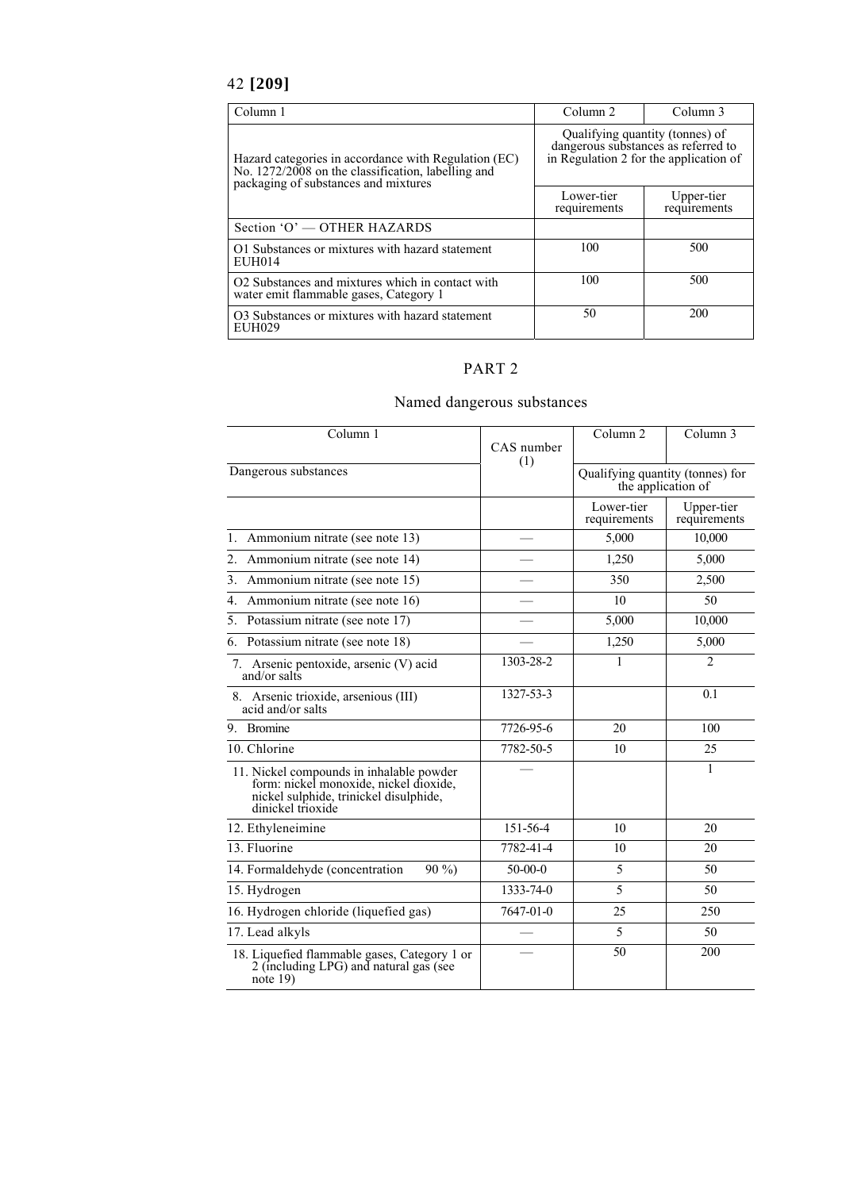# 42 **[209]**

| Column 1                                                                                                                                           | Column 2                                                                                                         | Column 3                   |
|----------------------------------------------------------------------------------------------------------------------------------------------------|------------------------------------------------------------------------------------------------------------------|----------------------------|
| Hazard categories in accordance with Regulation (EC)<br>No. 1272/2008 on the classification, labelling and<br>packaging of substances and mixtures | Qualifying quantity (tonnes) of<br>dangerous substances as referred to<br>in Regulation 2 for the application of |                            |
|                                                                                                                                                    | Lower-tier<br>requirements                                                                                       | Upper-tier<br>requirements |
| Section 'O' — OTHER HAZARDS                                                                                                                        |                                                                                                                  |                            |
| O1 Substances or mixtures with hazard statement<br>EUH014                                                                                          | 100                                                                                                              | 500                        |
| O2 Substances and mixtures which in contact with<br>water emit flammable gases, Category 1                                                         | 100                                                                                                              | 500                        |
| O3 Substances or mixtures with hazard statement<br>EUH029                                                                                          | 50                                                                                                               | 200                        |

# PART 2

# Named dangerous substances

| Column 1                                                                                                                                          | CAS number<br>(1)       | Column <sub>2</sub>                                    | Column 3                   |
|---------------------------------------------------------------------------------------------------------------------------------------------------|-------------------------|--------------------------------------------------------|----------------------------|
| Dangerous substances                                                                                                                              |                         | Qualifying quantity (tonnes) for<br>the application of |                            |
|                                                                                                                                                   |                         | Lower-tier<br>requirements                             | Upper-tier<br>requirements |
| 1. Ammonium nitrate (see note 13)                                                                                                                 |                         | 5,000                                                  | 10,000                     |
| 2.<br>Ammonium nitrate (see note 14)                                                                                                              |                         | 1,250                                                  | 5,000                      |
| 3.<br>Ammonium nitrate (see note 15)                                                                                                              |                         | 350                                                    | 2,500                      |
| Ammonium nitrate (see note 16)<br>4.                                                                                                              |                         | 10                                                     | 50                         |
| 5. Potassium nitrate (see note 17)                                                                                                                |                         | 5,000                                                  | 10,000                     |
| 6. Potassium nitrate (see note 18)                                                                                                                |                         | 1,250                                                  | 5,000                      |
| 7. Arsenic pentoxide, arsenic (V) acid<br>and/or salts                                                                                            | 1303-28-2               | 1                                                      | $\overline{2}$             |
| 8. Arsenic trioxide, arsenious (III)<br>acid and/or salts                                                                                         | $\overline{13}$ 27-53-3 |                                                        | 0.1                        |
| 9. Bromine                                                                                                                                        | 7726-95-6               | 20                                                     | 100                        |
| 10. Chlorine                                                                                                                                      | 7782-50-5               | 10                                                     | 25                         |
| 11. Nickel compounds in inhalable powder<br>form: nickel monoxide, nickel dioxide,<br>nickel sulphide, trinickel disulphide,<br>dinickel trioxide |                         |                                                        | 1                          |
| 12. Ethyleneimine                                                                                                                                 | 151-56-4                | 10                                                     | 20                         |
| 13. Fluorine                                                                                                                                      | 7782-41-4               | 10                                                     | 20                         |
| 14. Formaldehyde (concentration<br>$90\%$                                                                                                         | $50-00-0$               | 5                                                      | 50                         |
| 15. Hydrogen                                                                                                                                      | 1333-74-0               | 5                                                      | 50                         |
| 16. Hydrogen chloride (liquefied gas)                                                                                                             | 7647-01-0               | 25                                                     | 250                        |
| 17. Lead alkyls                                                                                                                                   |                         | 5                                                      | 50                         |
| 18. Liquefied flammable gases, Category 1 or 2 (including LPG) and natural gas (see<br>note $19)$                                                 |                         | 50                                                     | 200                        |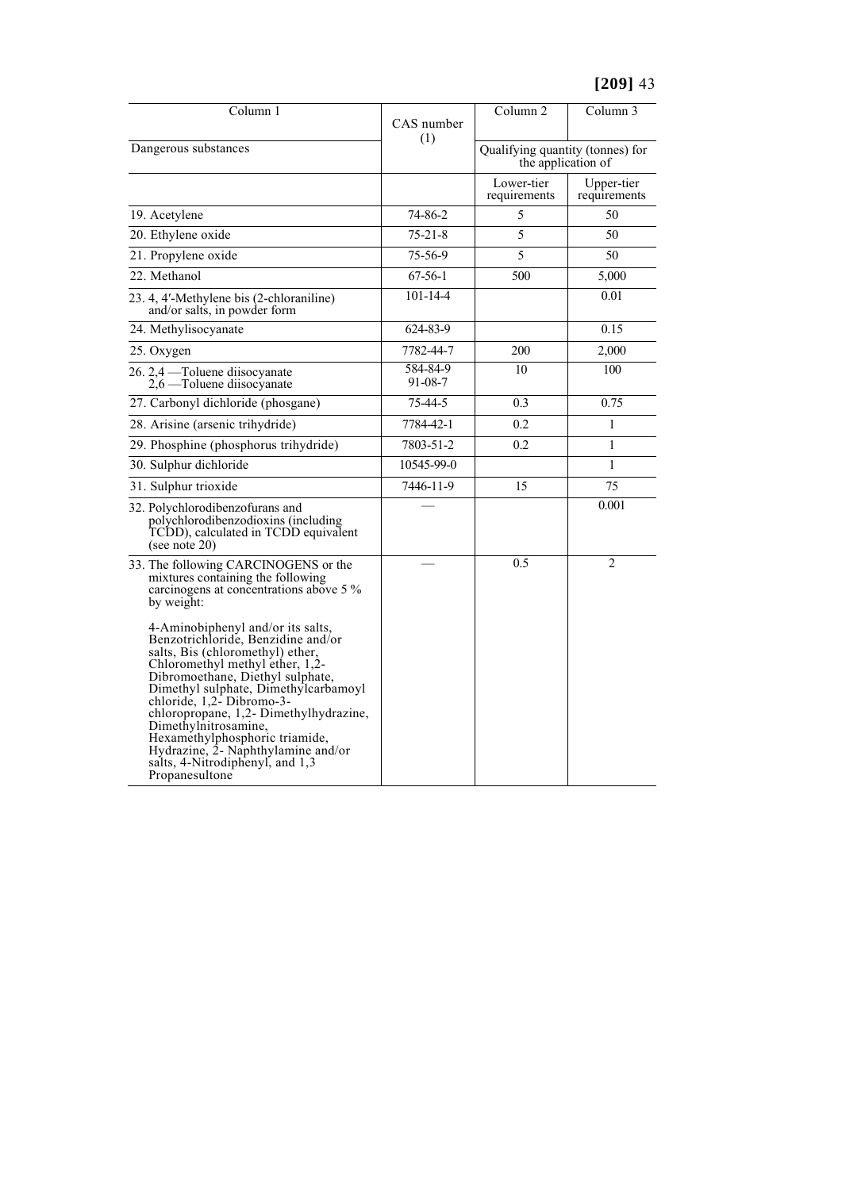| Column 1                                                                                                                                                                                                                                                                                                                                                                                                                                                  | CAS number<br>(1)         | Column <sub>2</sub>                                    | Column 3                   |
|-----------------------------------------------------------------------------------------------------------------------------------------------------------------------------------------------------------------------------------------------------------------------------------------------------------------------------------------------------------------------------------------------------------------------------------------------------------|---------------------------|--------------------------------------------------------|----------------------------|
| Dangerous substances                                                                                                                                                                                                                                                                                                                                                                                                                                      |                           | Qualifying quantity (tonnes) for<br>the application of |                            |
|                                                                                                                                                                                                                                                                                                                                                                                                                                                           |                           | Lower-tier<br>requirements                             | Upper-tier<br>requirements |
| 19. Acetylene                                                                                                                                                                                                                                                                                                                                                                                                                                             | 74-86-2                   | 5                                                      | 50                         |
| 20. Ethylene oxide                                                                                                                                                                                                                                                                                                                                                                                                                                        | $75 - 21 - 8$             | 5                                                      | 50                         |
| 21. Propylene oxide                                                                                                                                                                                                                                                                                                                                                                                                                                       | 75-56-9                   | 5                                                      | 50                         |
| 22. Methanol                                                                                                                                                                                                                                                                                                                                                                                                                                              | $67 - 56 - 1$             | 500                                                    | 5,000                      |
| 23. 4, 4'-Methylene bis (2-chloraniline)<br>and/or salts, in powder form                                                                                                                                                                                                                                                                                                                                                                                  | $101 - 14 - 4$            |                                                        | 0.01                       |
| 24. Methylisocyanate                                                                                                                                                                                                                                                                                                                                                                                                                                      | 624-83-9                  |                                                        | 0.15                       |
| 25. Oxygen                                                                                                                                                                                                                                                                                                                                                                                                                                                | 7782-44-7                 | 200                                                    | 2,000                      |
| 26. 2,4 — Toluene diisocyanate<br>2,6 — Toluene diisocyanate                                                                                                                                                                                                                                                                                                                                                                                              | 584-84-9<br>$91 - 08 - 7$ | 10                                                     | 100                        |
| 27. Carbonyl dichloride (phosgane)                                                                                                                                                                                                                                                                                                                                                                                                                        | 75-44-5                   | 0.3                                                    | 0.75                       |
| 28. Arisine (arsenic trihydride)                                                                                                                                                                                                                                                                                                                                                                                                                          | 7784-42-1                 | 0.2                                                    | 1                          |
| 29. Phosphine (phosphorus trihydride)                                                                                                                                                                                                                                                                                                                                                                                                                     | 7803-51-2                 | 0.2                                                    | 1                          |
| 30. Sulphur dichloride                                                                                                                                                                                                                                                                                                                                                                                                                                    | 10545-99-0                |                                                        | 1                          |
| 31. Sulphur trioxide                                                                                                                                                                                                                                                                                                                                                                                                                                      | 7446-11-9                 | 15                                                     | 75                         |
| 32. Polychlorodibenzofurans and<br>polychlorodibenzodioxins (including<br>TCDD), calculated in TCDD equivalent<br>(see note $20$ )                                                                                                                                                                                                                                                                                                                        |                           |                                                        | 0.001                      |
| 33. The following CARCINOGENS or the<br>mixtures containing the following<br>carcinogens at concentrations above 5 %<br>by weight:                                                                                                                                                                                                                                                                                                                        |                           | 0.5                                                    | $\overline{2}$             |
| 4-Aminobiphenyl and/or its salts,<br>Benzotrichloride, Benzidine and/or<br>salts, Bis (chloromethyl) ether,<br>Chloromethyl methyl ether, 1,2-<br>Dibromoethane, Diethyl sulphate,<br>Dimethyl sulphate, Dimethylcarbamoyl<br>chloride, $1,2$ - Dibromo-3-<br>chloropropane, 1,2- Dimethylhydrazine,<br>Dimethylnitrosamine,<br>Hexamethylphosphoric triamide,<br>Hydrazine, 2- Naphthylamine and/or<br>salts, 4-Nitrodiphenyl, and 1,3<br>Propanesultone |                           |                                                        |                            |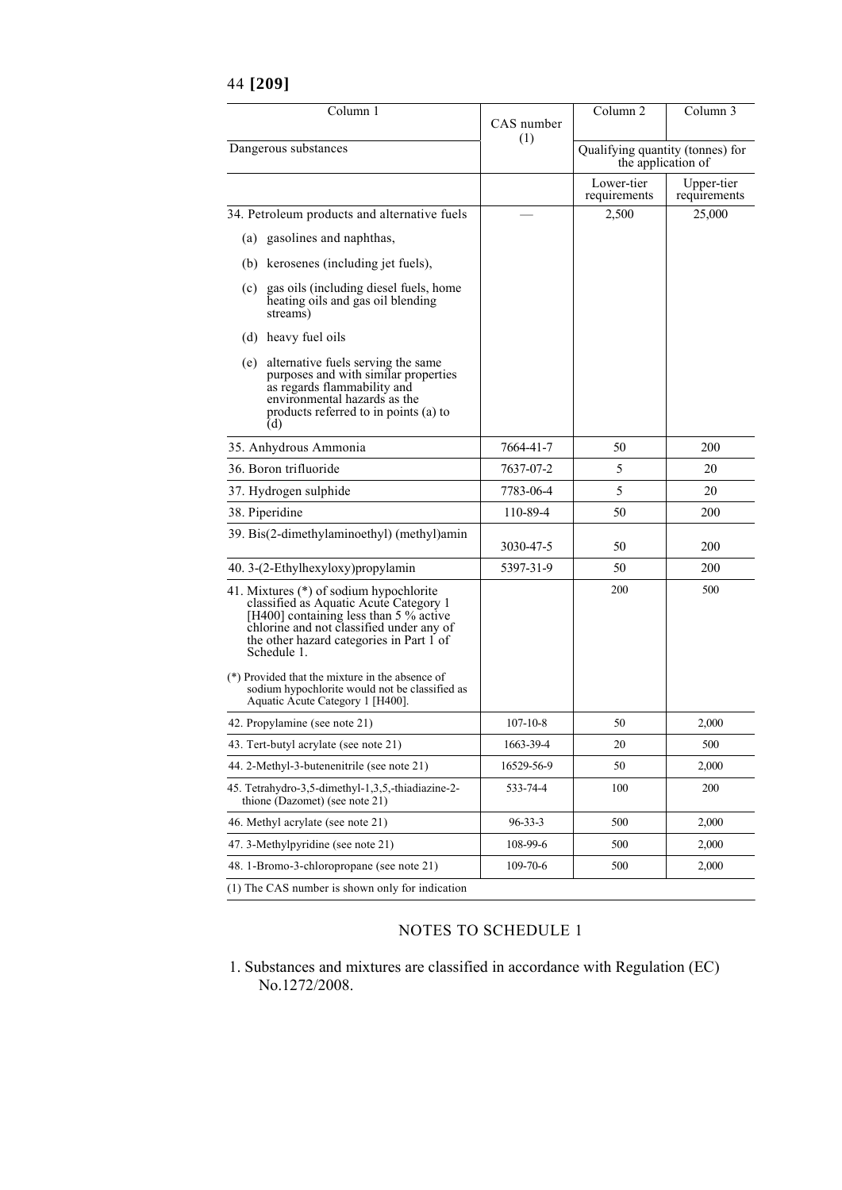|  | 44 [209] |
|--|----------|
|--|----------|

| Column 1                                                                                                                                                                                                                                                                                                                                                                    | CAS number     | Column <sub>2</sub>                                    | Column 3                   |
|-----------------------------------------------------------------------------------------------------------------------------------------------------------------------------------------------------------------------------------------------------------------------------------------------------------------------------------------------------------------------------|----------------|--------------------------------------------------------|----------------------------|
| Dangerous substances                                                                                                                                                                                                                                                                                                                                                        | (1)            | Qualifying quantity (tonnes) for<br>the application of |                            |
|                                                                                                                                                                                                                                                                                                                                                                             |                | Lower-tier<br>requirements                             | Upper-tier<br>requirements |
| 34. Petroleum products and alternative fuels                                                                                                                                                                                                                                                                                                                                |                | 2,500                                                  | 25,000                     |
| (a) gasolines and naphthas,                                                                                                                                                                                                                                                                                                                                                 |                |                                                        |                            |
| (b) kerosenes (including jet fuels),                                                                                                                                                                                                                                                                                                                                        |                |                                                        |                            |
| (c) gas oils (including diesel fuels, home<br>heating oils and gas oil blending<br>streams)                                                                                                                                                                                                                                                                                 |                |                                                        |                            |
| (d) heavy fuel oils                                                                                                                                                                                                                                                                                                                                                         |                |                                                        |                            |
| (e) alternative fuels serving the same<br>purposes and with similar properties<br>as regards flammability and<br>environmental hazards as the<br>products referred to in points (a) to<br>(d)                                                                                                                                                                               |                |                                                        |                            |
| 35. Anhydrous Ammonia                                                                                                                                                                                                                                                                                                                                                       | 7664-41-7      | 50                                                     | 200                        |
| 36. Boron trifluoride                                                                                                                                                                                                                                                                                                                                                       | 7637-07-2      | 5                                                      | 20                         |
| 37. Hydrogen sulphide                                                                                                                                                                                                                                                                                                                                                       | 7783-06-4      | 5                                                      | 20                         |
| 38. Piperidine                                                                                                                                                                                                                                                                                                                                                              | 110-89-4       | 50                                                     | 200                        |
| 39. Bis(2-dimethylaminoethyl) (methyl)amin                                                                                                                                                                                                                                                                                                                                  | 3030-47-5      | 50                                                     | 200                        |
| 40. 3-(2-Ethylhexyloxy) propylamin                                                                                                                                                                                                                                                                                                                                          | 5397-31-9      | 50                                                     | <b>200</b>                 |
| 41. Mixtures (*) of sodium hypochlorite<br>classified as Aquatic Acute Category 1<br>[H400] containing less than 5 % active<br>chlorine and not classified under any of<br>the other hazard categories in Part 1 of<br>Schedule 1.<br>(*) Provided that the mixture in the absence of<br>sodium hypochlorite would not be classified as<br>Aquatic Acute Category 1 [H400]. |                | 200                                                    | 500                        |
| 42. Propylamine (see note 21)                                                                                                                                                                                                                                                                                                                                               | $107 - 10 - 8$ | 50                                                     | 2,000                      |
| 43. Tert-butyl acrylate (see note 21)                                                                                                                                                                                                                                                                                                                                       | 1663-39-4      | 20                                                     | 500                        |
| 44. 2-Methyl-3-butenenitrile (see note 21)                                                                                                                                                                                                                                                                                                                                  | 16529-56-9     | 50                                                     | 2,000                      |
| 45. Tetrahydro-3,5-dimethyl-1,3,5,-thiadiazine-2-<br>thione (Dazomet) (see note 21)                                                                                                                                                                                                                                                                                         | 533-74-4       | 100                                                    | 200                        |
| 46. Methyl acrylate (see note 21)                                                                                                                                                                                                                                                                                                                                           | $96 - 33 - 3$  | 500                                                    | 2,000                      |
| 47. 3-Methylpyridine (see note 21)                                                                                                                                                                                                                                                                                                                                          | 108-99-6       | 500                                                    | 2,000                      |
| 48. 1-Bromo-3-chloropropane (see note 21)                                                                                                                                                                                                                                                                                                                                   | 109-70-6       | 500                                                    | 2,000                      |
| (1) The CAS number is shown only for indication                                                                                                                                                                                                                                                                                                                             |                |                                                        |                            |

## NOTES TO SCHEDULE 1

1. Substances and mixtures are classified in accordance with Regulation (EC) No.1272/2008.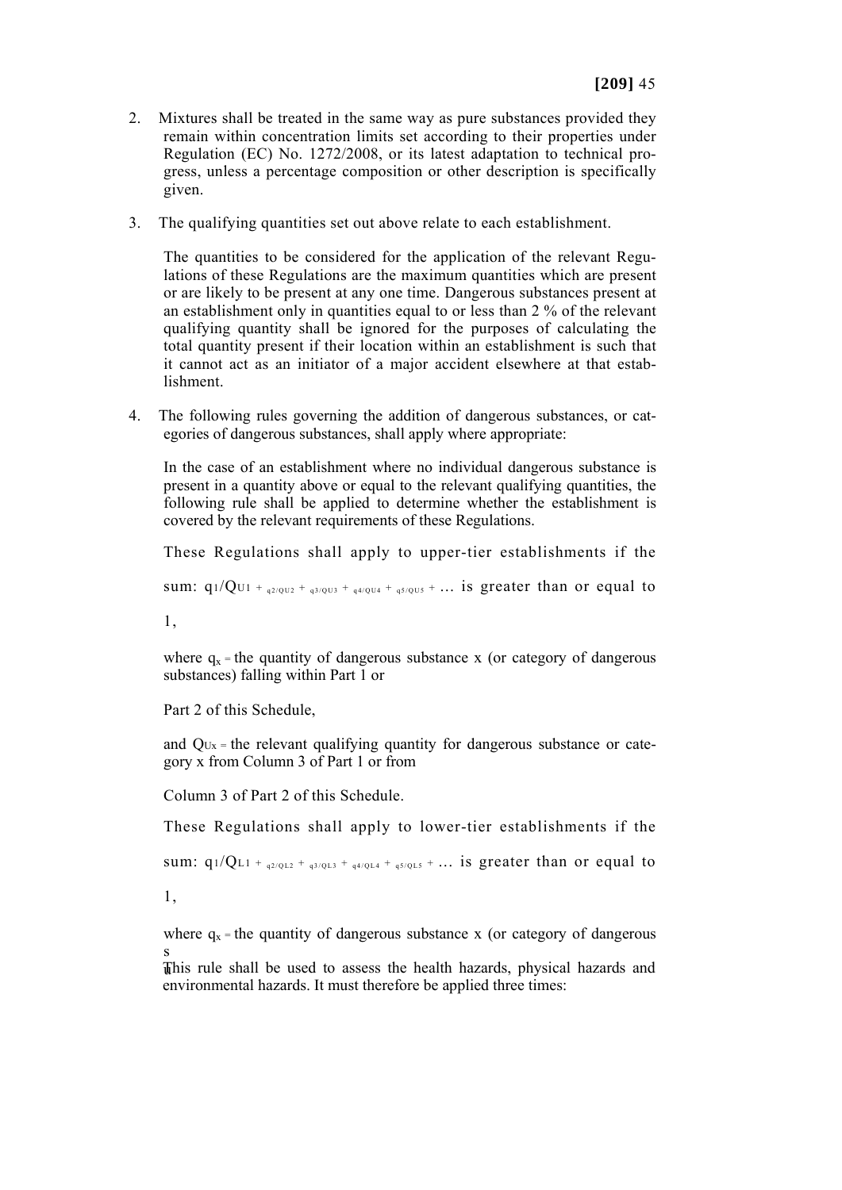- 2. Mixtures shall be treated in the same way as pure substances provided they remain within concentration limits set according to their properties under Regulation (EC) No. 1272/2008, or its latest adaptation to technical progress, unless a percentage composition or other description is specifically given.
- 3. The qualifying quantities set out above relate to each establishment.

The quantities to be considered for the application of the relevant Regulations of these Regulations are the maximum quantities which are present or are likely to be present at any one time. Dangerous substances present at an establishment only in quantities equal to or less than 2 % of the relevant qualifying quantity shall be ignored for the purposes of calculating the total quantity present if their location within an establishment is such that it cannot act as an initiator of a major accident elsewhere at that establishment.

4. The following rules governing the addition of dangerous substances, or categories of dangerous substances, shall apply where appropriate:

In the case of an establishment where no individual dangerous substance is present in a quantity above or equal to the relevant qualifying quantities, the following rule shall be applied to determine whether the establishment is covered by the relevant requirements of these Regulations.

These Regulations shall apply to upper-tier establishments if the

sum:  $q_1/Q_{U1 + q_2/q_{U2} + q_3/q_{U3} + q_4/q_{U4} + q_5/q_{U5} + ...}$  is greater than or equal to

1,

where  $q_x$  = the quantity of dangerous substance x (or category of dangerous substances) falling within Part 1 or

Part 2 of this Schedule,

and QUx = the relevant qualifying quantity for dangerous substance or category x from Column 3 of Part 1 or from

Column 3 of Part 2 of this Schedule.

These Regulations shall apply to lower-tier establishments if the

sum:  $q_1/Q_{L1} +_{q_2/Q_{L2} + q_3/Q_{L3} + q_4/Q_{L4} + q_5/Q_{L5} + ...$  is greater than or equal to

1,

where  $q_x$  = the quantity of dangerous substance x (or category of dangerous s

This rule shall be used to assess the health hazards, physical hazards and environmental hazards. It must therefore be applied three times: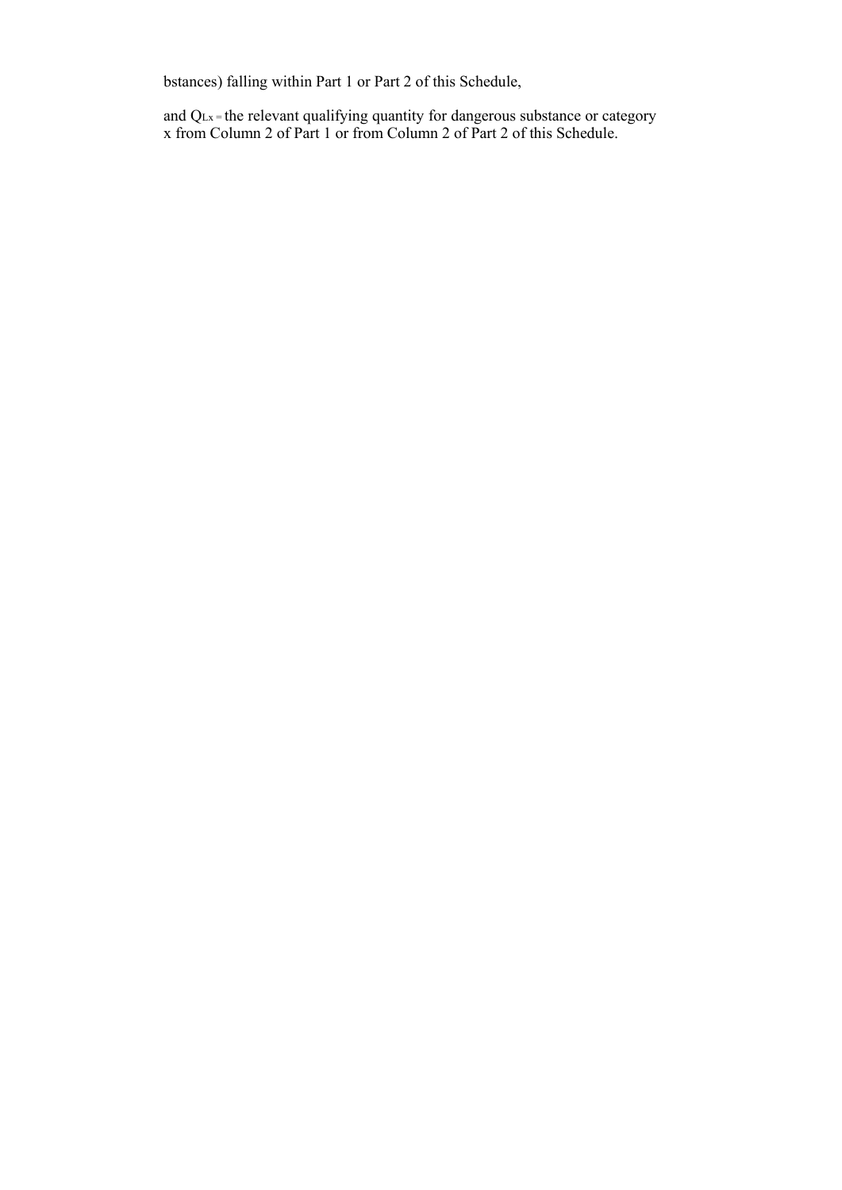bstances) falling within Part 1 or Part 2 of this Schedule,

and QLx = the relevant qualifying quantity for dangerous substance or category x from Column 2 of Part 1 or from Column 2 of Part 2 of this Schedule.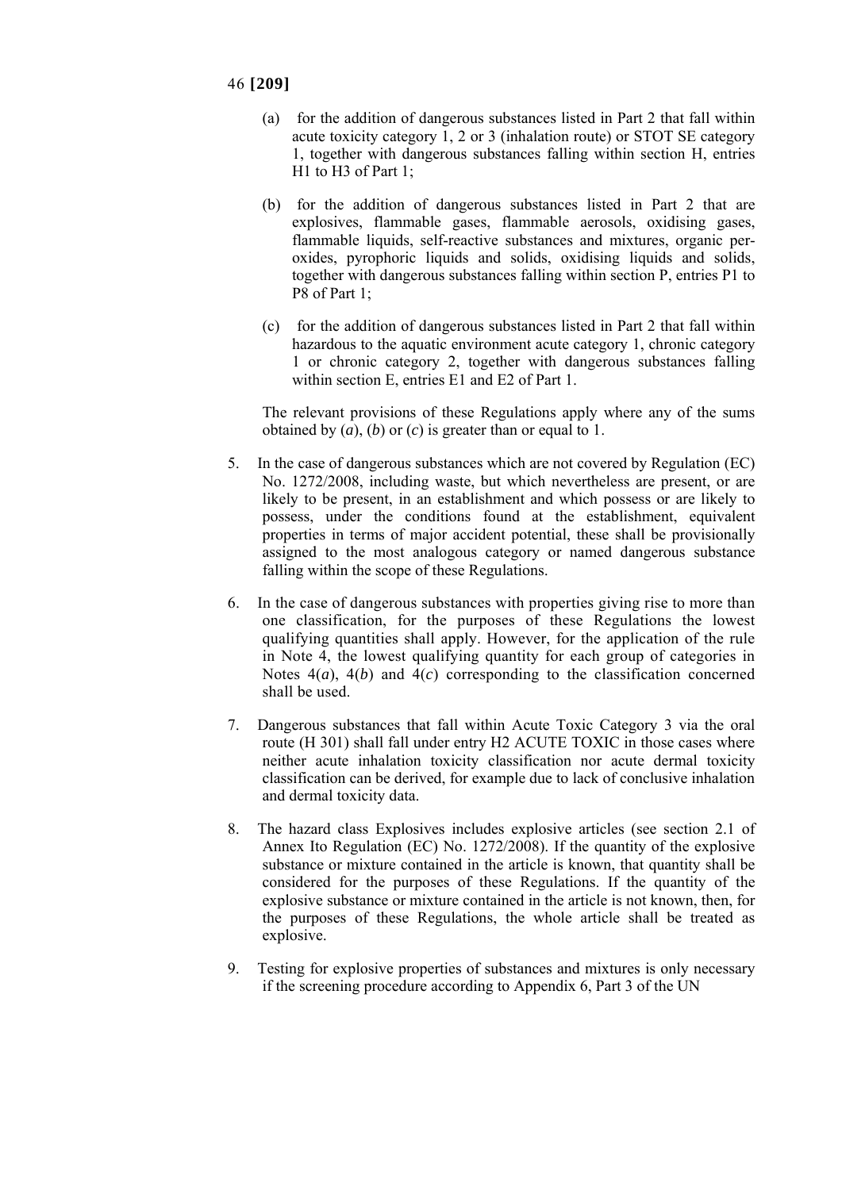- (a) for the addition of dangerous substances listed in Part 2 that fall within acute toxicity category 1, 2 or 3 (inhalation route) or STOT SE category 1, together with dangerous substances falling within section H, entries H1 to H3 of Part 1;
- (b) for the addition of dangerous substances listed in Part 2 that are explosives, flammable gases, flammable aerosols, oxidising gases, flammable liquids, self-reactive substances and mixtures, organic peroxides, pyrophoric liquids and solids, oxidising liquids and solids, together with dangerous substances falling within section P, entries P1 to P8 of Part 1;
- (c) for the addition of dangerous substances listed in Part 2 that fall within hazardous to the aquatic environment acute category 1, chronic category 1 or chronic category 2, together with dangerous substances falling within section E, entries E1 and E2 of Part 1.

The relevant provisions of these Regulations apply where any of the sums obtained by (*a*), (*b*) or (*c*) is greater than or equal to 1.

- 5. In the case of dangerous substances which are not covered by Regulation (EC) No. 1272/2008, including waste, but which nevertheless are present, or are likely to be present, in an establishment and which possess or are likely to possess, under the conditions found at the establishment, equivalent properties in terms of major accident potential, these shall be provisionally assigned to the most analogous category or named dangerous substance falling within the scope of these Regulations.
- 6. In the case of dangerous substances with properties giving rise to more than one classification, for the purposes of these Regulations the lowest qualifying quantities shall apply. However, for the application of the rule in Note 4, the lowest qualifying quantity for each group of categories in Notes 4(*a*), 4(*b*) and 4(*c*) corresponding to the classification concerned shall be used.
- 7. Dangerous substances that fall within Acute Toxic Category 3 via the oral route (H 301) shall fall under entry H2 ACUTE TOXIC in those cases where neither acute inhalation toxicity classification nor acute dermal toxicity classification can be derived, for example due to lack of conclusive inhalation and dermal toxicity data.
- 8. The hazard class Explosives includes explosive articles (see section 2.1 of Annex Ito Regulation (EC) No. 1272/2008). If the quantity of the explosive substance or mixture contained in the article is known, that quantity shall be considered for the purposes of these Regulations. If the quantity of the explosive substance or mixture contained in the article is not known, then, for the purposes of these Regulations, the whole article shall be treated as explosive.
- 9. Testing for explosive properties of substances and mixtures is only necessary if the screening procedure according to Appendix 6, Part 3 of the UN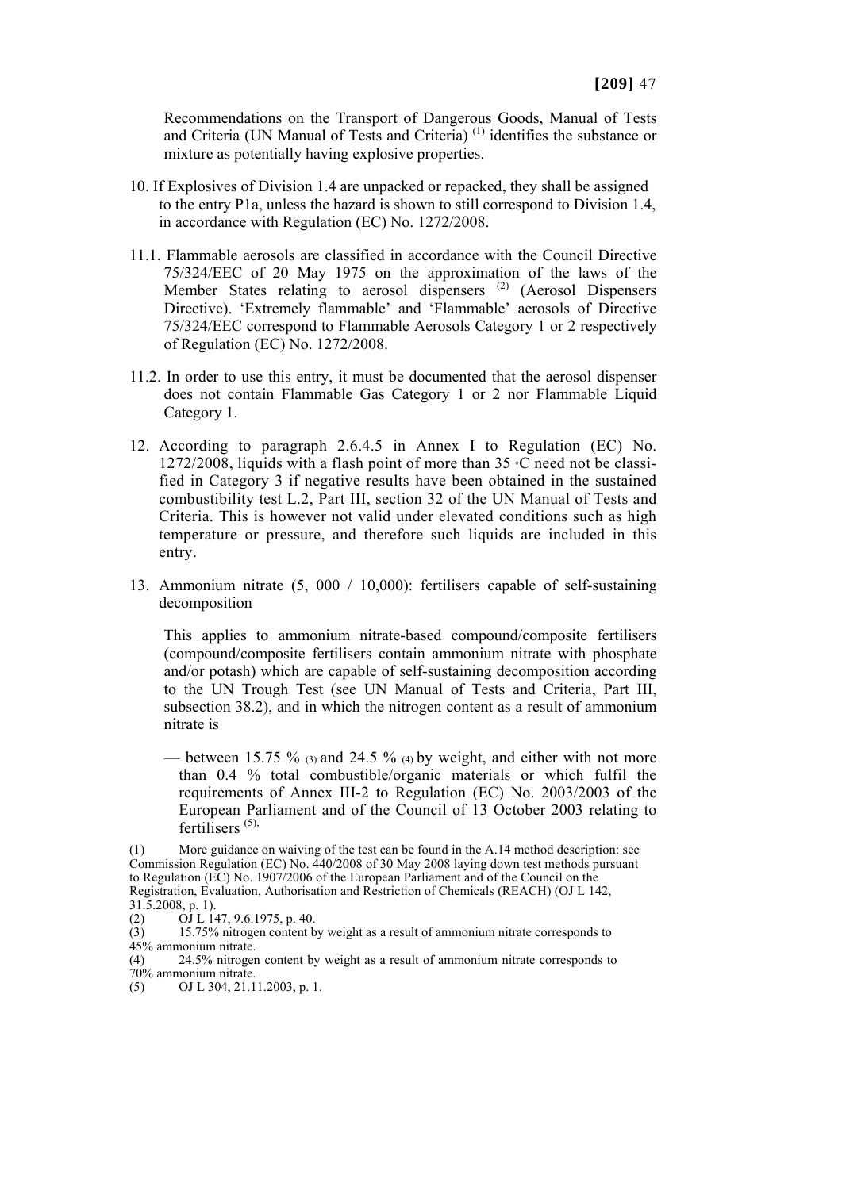Recommendations on the Transport of Dangerous Goods, Manual of Tests and Criteria (UN Manual of Tests and Criteria) (1) identifies the substance or mixture as potentially having explosive properties.

- 10. If Explosives of Division 1.4 are unpacked or repacked, they shall be assigned to the entry P1a, unless the hazard is shown to still correspond to Division 1.4, in accordance with Regulation (EC) No. 1272/2008.
- 11.1. Flammable aerosols are classified in accordance with the Council Directive 75/324/EEC of 20 May 1975 on the approximation of the laws of the Member States relating to aerosol dispensers<sup>(2)</sup> (Aerosol Dispensers Directive). 'Extremely flammable' and 'Flammable' aerosols of Directive 75/324/EEC correspond to Flammable Aerosols Category 1 or 2 respectively of Regulation (EC) No. 1272/2008.
- 11.2. In order to use this entry, it must be documented that the aerosol dispenser does not contain Flammable Gas Category 1 or 2 nor Flammable Liquid Category 1.
- 12. According to paragraph 2.6.4.5 in Annex I to Regulation (EC) No. 1272/2008, liquids with a flash point of more than 35 °C need not be classified in Category 3 if negative results have been obtained in the sustained combustibility test L.2, Part III, section 32 of the UN Manual of Tests and Criteria. This is however not valid under elevated conditions such as high temperature or pressure, and therefore such liquids are included in this entry.
- 13. Ammonium nitrate (5, 000 / 10,000): fertilisers capable of self-sustaining decomposition

This applies to ammonium nitrate-based compound/composite fertilisers (compound/composite fertilisers contain ammonium nitrate with phosphate and/or potash) which are capable of self-sustaining decomposition according to the UN Trough Test (see UN Manual of Tests and Criteria, Part III, subsection 38.2), and in which the nitrogen content as a result of ammonium nitrate is

– between 15.75  $\%$  (3) and 24.5  $\%$  (4) by weight, and either with not more than 0.4 % total combustible/organic materials or which fulfil the requirements of Annex III-2 to Regulation (EC) No. 2003/2003 of the European Parliament and of the Council of 13 October 2003 relating to fertilisers<sup>(5),</sup>

More guidance on waiving of the test can be found in the A.14 method description: see Commission Regulation (EC) No. 440/2008 of 30 May 2008 laying down test methods pursuant to Regulation (EC) No. 1907/2006 of the European Parliament and of the Council on the Registration, Evaluation, Authorisation and Restriction of Chemicals (REACH) (OJ L 142, 31.5.2008, p. 1).

<sup>(2)</sup>  $\overrightarrow{O}$  L 147, 9.6.1975, p. 40.

<sup>(3)</sup> 15.75% nitrogen content by weight as a result of ammonium nitrate corresponds to 45% ammonium nitrate.

<sup>(4)</sup> 24.5% nitrogen content by weight as a result of ammonium nitrate corresponds to 70% ammonium nitrate.

<sup>(5)</sup> OJ L 304, 21.11.2003, p. 1.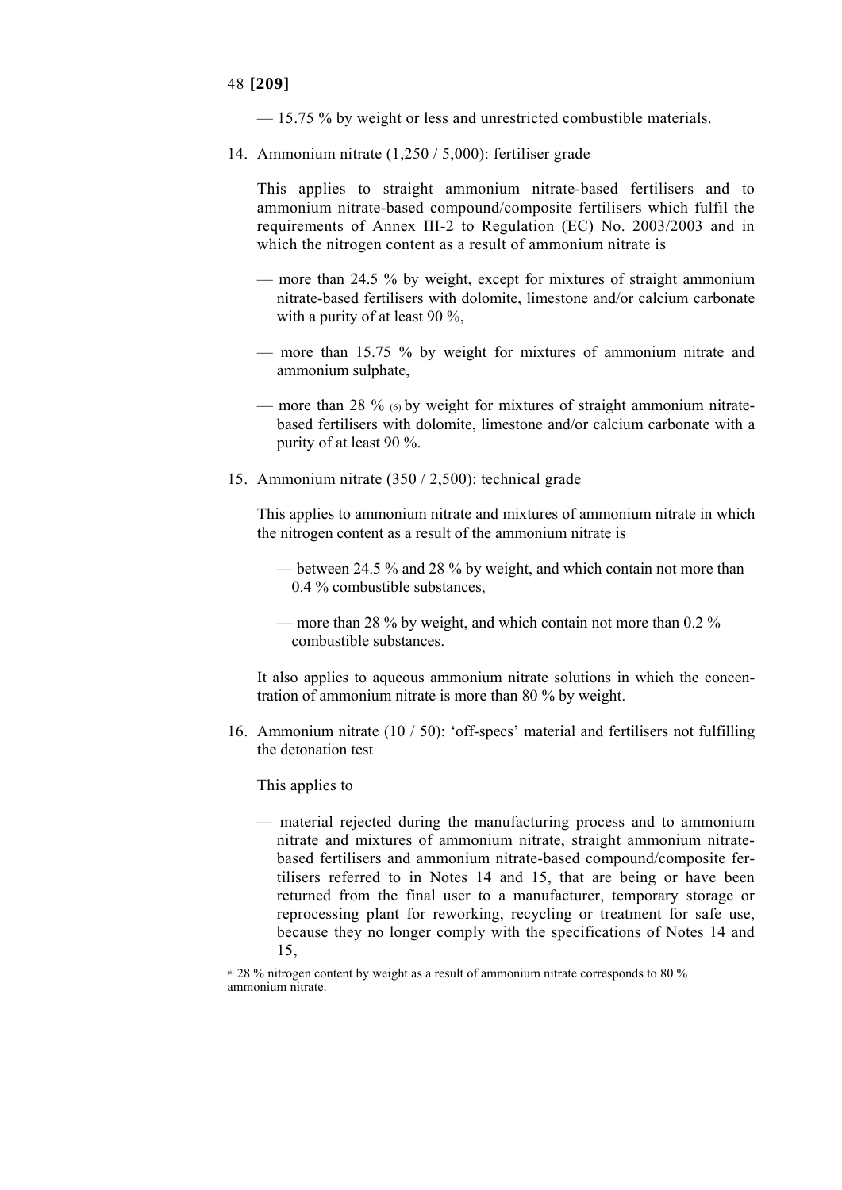— 15.75 % by weight or less and unrestricted combustible materials.

14. Ammonium nitrate (1,250 / 5,000): fertiliser grade

This applies to straight ammonium nitrate-based fertilisers and to ammonium nitrate-based compound/composite fertilisers which fulfil the requirements of Annex III-2 to Regulation (EC) No. 2003/2003 and in which the nitrogen content as a result of ammonium nitrate is

- more than 24.5 % by weight, except for mixtures of straight ammonium nitrate-based fertilisers with dolomite, limestone and/or calcium carbonate with a purity of at least 90 %,
- more than 15.75 % by weight for mixtures of ammonium nitrate and ammonium sulphate,
- more than 28 % (6) by weight for mixtures of straight ammonium nitratebased fertilisers with dolomite, limestone and/or calcium carbonate with a purity of at least 90 %.
- 15. Ammonium nitrate (350 / 2,500): technical grade

This applies to ammonium nitrate and mixtures of ammonium nitrate in which the nitrogen content as a result of the ammonium nitrate is

- between 24.5 % and 28 % by weight, and which contain not more than 0.4 % combustible substances,
- more than 28 % by weight, and which contain not more than 0.2 % combustible substances.

It also applies to aqueous ammonium nitrate solutions in which the concentration of ammonium nitrate is more than 80 % by weight.

16. Ammonium nitrate (10 / 50): 'off-specs' material and fertilisers not fulfilling the detonation test

This applies to

— material rejected during the manufacturing process and to ammonium nitrate and mixtures of ammonium nitrate, straight ammonium nitratebased fertilisers and ammonium nitrate-based compound/composite fertilisers referred to in Notes 14 and 15, that are being or have been returned from the final user to a manufacturer, temporary storage or reprocessing plant for reworking, recycling or treatment for safe use, because they no longer comply with the specifications of Notes 14 and 15,

<sup>60</sup> 28 % nitrogen content by weight as a result of ammonium nitrate corresponds to 80 % ammonium nitrate.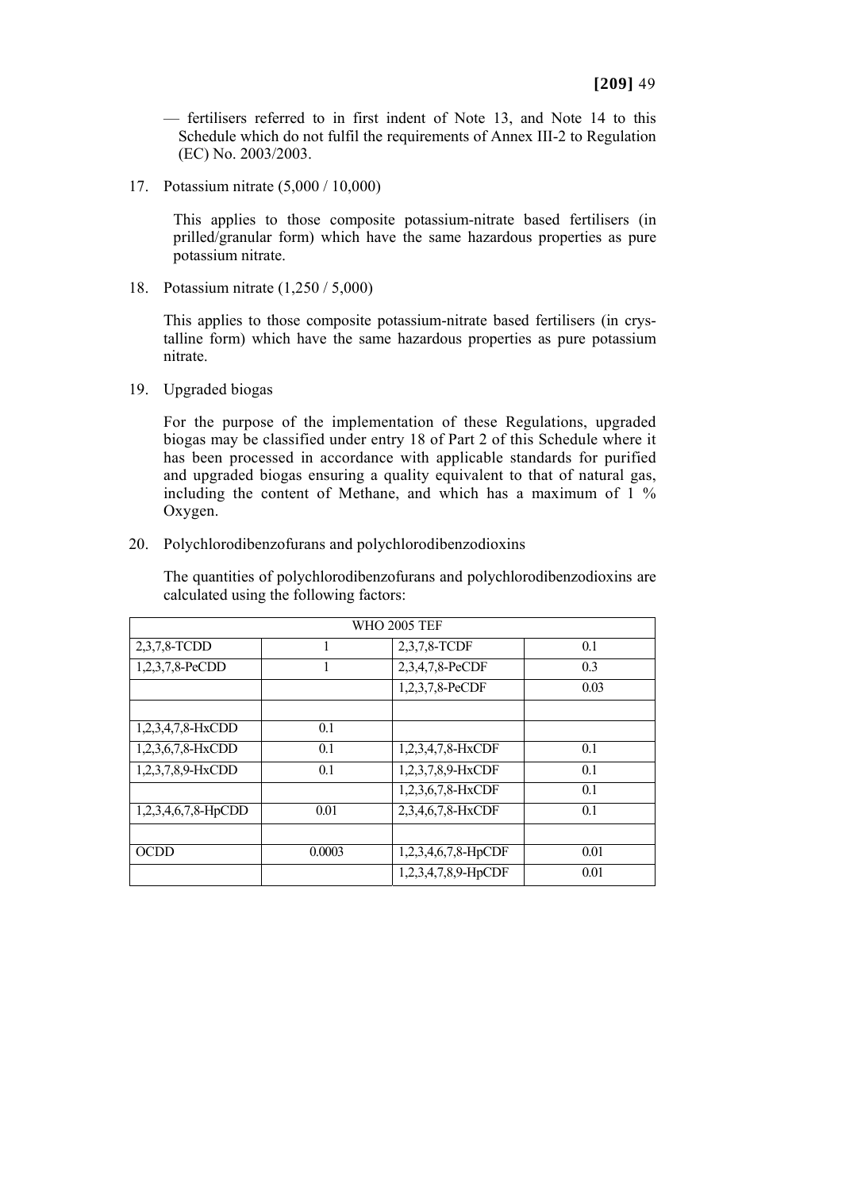— fertilisers referred to in first indent of Note 13, and Note 14 to this Schedule which do not fulfil the requirements of Annex III-2 to Regulation (EC) No. 2003/2003.

17. Potassium nitrate (5,000 / 10,000)

This applies to those composite potassium-nitrate based fertilisers (in prilled/granular form) which have the same hazardous properties as pure potassium nitrate.

18. Potassium nitrate (1,250 / 5,000)

This applies to those composite potassium-nitrate based fertilisers (in crystalline form) which have the same hazardous properties as pure potassium nitrate.

19. Upgraded biogas

For the purpose of the implementation of these Regulations, upgraded biogas may be classified under entry 18 of Part 2 of this Schedule where it has been processed in accordance with applicable standards for purified and upgraded biogas ensuring a quality equivalent to that of natural gas, including the content of Methane, and which has a maximum of 1 % Oxygen.

20. Polychlorodibenzofurans and polychlorodibenzodioxins

The quantities of polychlorodibenzofurans and polychlorodibenzodioxins are calculated using the following factors:

| <b>WHO 2005 TEF</b> |        |                     |      |
|---------------------|--------|---------------------|------|
| 2,3,7,8-TCDD        |        | 2,3,7,8-TCDF        | 0.1  |
| $1,2,3,7,8$ -PeCDD  |        | 2,3,4,7,8-PeCDF     | 0.3  |
|                     |        | 1,2,3,7,8-PeCDF     | 0.03 |
|                     |        |                     |      |
| 1,2,3,4,7,8-HxCDD   | 0.1    |                     |      |
| 1,2,3,6,7,8-HxCDD   | 0.1    | 1,2,3,4,7,8-HxCDF   | 0.1  |
| 1,2,3,7,8,9-HxCDD   | 0.1    | 1,2,3,7,8,9-HxCDF   | 0.1  |
|                     |        | 1,2,3,6,7,8-HxCDF   | 0.1  |
| 1,2,3,4,6,7,8-HpCDD | 0.01   | 2,3,4,6,7,8-HxCDF   | 0.1  |
|                     |        |                     |      |
| <b>OCDD</b>         | 0.0003 | 1,2,3,4,6,7,8-HpCDF | 0.01 |
|                     |        | 1,2,3,4,7,8,9-HpCDF | 0.01 |